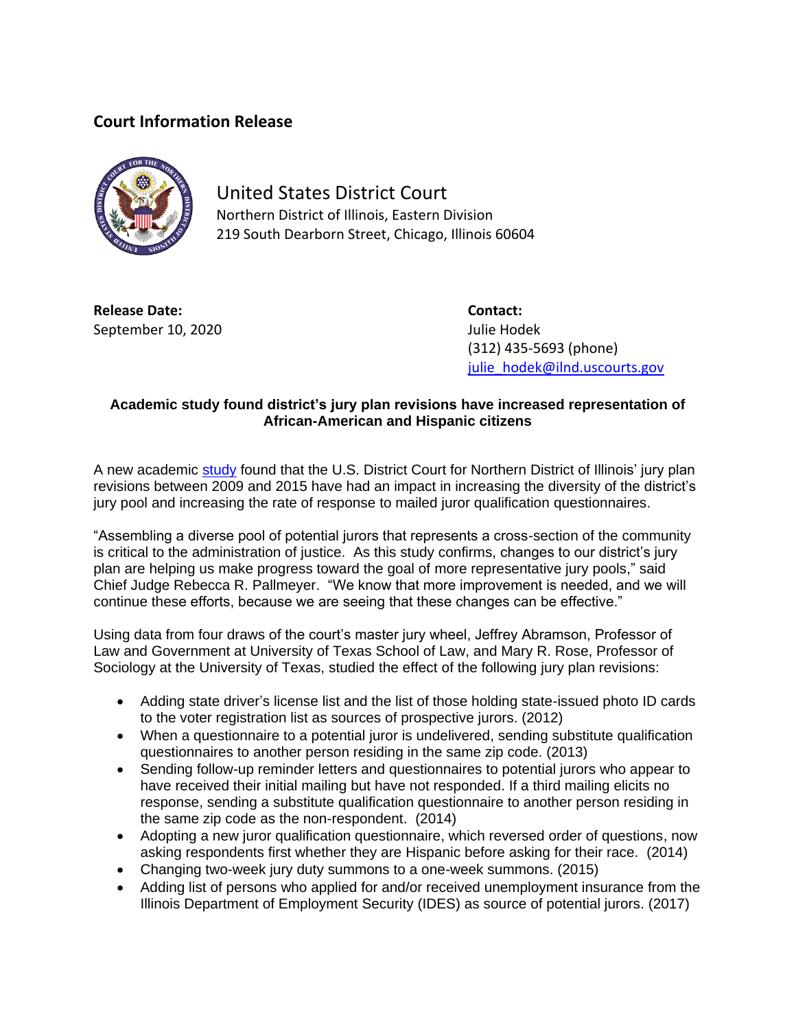## **Court Information Release**



United States District Court Northern District of Illinois, Eastern Division 219 South Dearborn Street, Chicago, Illinois 60604

**Release Date: Contact:** September 10, 2020 Julie Hodek

(312) 435-5693 (phone) [julie\\_hodek@ilnd.uscourts.gov](mailto:julie_hodek@ilnd.uscourts.gov)

## **Academic study found district's jury plan revisions have increased representation of African-American and Hispanic citizens**

A new academic [study](https://www.ilnd.uscourts.gov/_assets/_documents/_forms/_press/Study%20of%20the%20Revised%20Jury%20Plan%20(002).pdf) found that the U.S. District Court for Northern District of Illinois' jury plan revisions between 2009 and 2015 have had an impact in increasing the diversity of the district's jury pool and increasing the rate of response to mailed juror qualification questionnaires.

"Assembling a diverse pool of potential jurors that represents a cross-section of the community is critical to the administration of justice. As this study confirms, changes to our district's jury plan are helping us make progress toward the goal of more representative jury pools," said Chief Judge Rebecca R. Pallmeyer. "We know that more improvement is needed, and we will continue these efforts, because we are seeing that these changes can be effective."

Using data from four draws of the court's master jury wheel, Jeffrey Abramson, Professor of Law and Government at University of Texas School of Law, and Mary R. Rose, Professor of Sociology at the University of Texas, studied the effect of the following jury plan revisions:

- Adding state driver's license list and the list of those holding state-issued photo ID cards to the voter registration list as sources of prospective jurors. (2012)
- When a questionnaire to a potential juror is undelivered, sending substitute qualification questionnaires to another person residing in the same zip code. (2013)
- Sending follow-up reminder letters and questionnaires to potential jurors who appear to have received their initial mailing but have not responded. If a third mailing elicits no response, sending a substitute qualification questionnaire to another person residing in the same zip code as the non-respondent. (2014)
- Adopting a new juror qualification questionnaire, which reversed order of questions, now asking respondents first whether they are Hispanic before asking for their race. (2014)
- Changing two-week jury duty summons to a one-week summons. (2015)
- Adding list of persons who applied for and/or received unemployment insurance from the Illinois Department of Employment Security (IDES) as source of potential jurors. (2017)